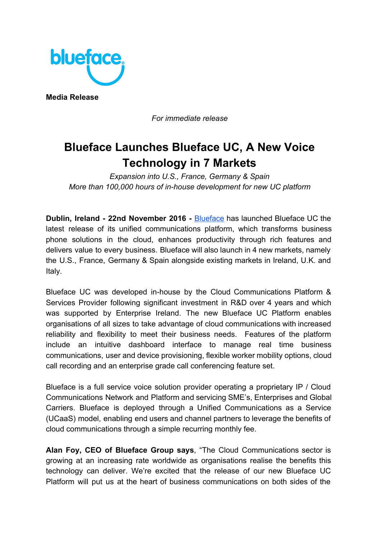

**Media Release**

*For immediate release*

## **Blueface Launches Blueface UC, A New Voice Technology in 7 Markets**

*Expansion into U.S., France, Germany & Spain More than 100,000 hours of in-house development for new UC platform*

**Dublin, Ireland - 22nd November 2016 -** [Blueface](https://www.blueface.com/) has launched Blueface UC the latest release of its unified communications platform, which transforms business phone solutions in the cloud, enhances productivity through rich features and delivers value to every business. Blueface will also launch in 4 new markets, namely the U.S., France, Germany & Spain alongside existing markets in Ireland, U.K. and Italy.

Blueface UC was developed in-house by the Cloud Communications Platform & Services Provider following significant investment in R&D over 4 years and which was supported by Enterprise Ireland. The new Blueface UC Platform enables organisations of all sizes to take advantage of cloud communications with increased reliability and flexibility to meet their business needs. Features of the platform include an intuitive dashboard interface to manage real time business communications, user and device provisioning, flexible worker mobility options, cloud call recording and an enterprise grade call conferencing feature set.

Blueface is a full service voice solution provider operating a proprietary IP / Cloud Communications Network and Platform and servicing SME's, Enterprises and Global Carriers. Blueface is deployed through a Unified Communications as a Service (UCaaS) model, enabling end users and channel partners to leverage the benefits of cloud communications through a simple recurring monthly fee.

**Alan Foy, CEO of Blueface Group says**, "The Cloud Communications sector is growing at an increasing rate worldwide as organisations realise the benefits this technology can deliver. We're excited that the release of our new Blueface UC Platform will put us at the heart of business communications on both sides of the